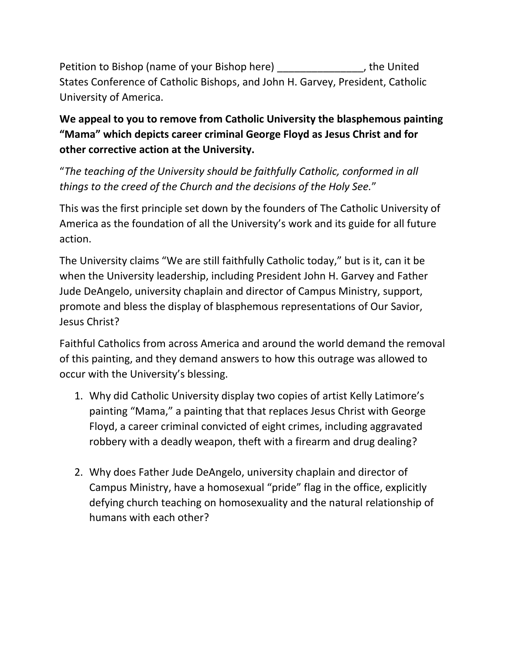Petition to Bishop (name of your Bishop here) \_\_\_\_\_\_\_\_\_\_\_\_\_\_\_, the United States Conference of Catholic Bishops, and John H. Garvey, President, Catholic University of America.

## **We appeal to you to remove from Catholic University the blasphemous painting "Mama" which depicts career criminal George Floyd as Jesus Christ and for other corrective action at the University.**

"*The teaching of the University should be faithfully Catholic, conformed in all things to the creed of the Church and the decisions of the Holy See.*"

This was the first principle set down by the founders of The Catholic University of America as the foundation of all the University's work and its guide for all future action.

The University claims "We are still faithfully Catholic today," but is it, can it be when the University leadership, including President John H. Garvey and Father Jude DeAngelo, university chaplain and director of Campus Ministry, support, promote and bless the display of blasphemous representations of Our Savior, Jesus Christ?

Faithful Catholics from across America and around the world demand the removal of this painting, and they demand answers to how this outrage was allowed to occur with the University's blessing.

- 1. Why did Catholic University display two copies of artist Kelly Latimore's painting "Mama," a painting that that replaces Jesus Christ with George Floyd, a career criminal convicted of eight crimes, including aggravated robbery with a deadly weapon, theft with a firearm and drug dealing?
- 2. Why does Father Jude DeAngelo, university chaplain and director of Campus Ministry, have a homosexual "pride" flag in the office, explicitly defying church teaching on homosexuality and the natural relationship of humans with each other?